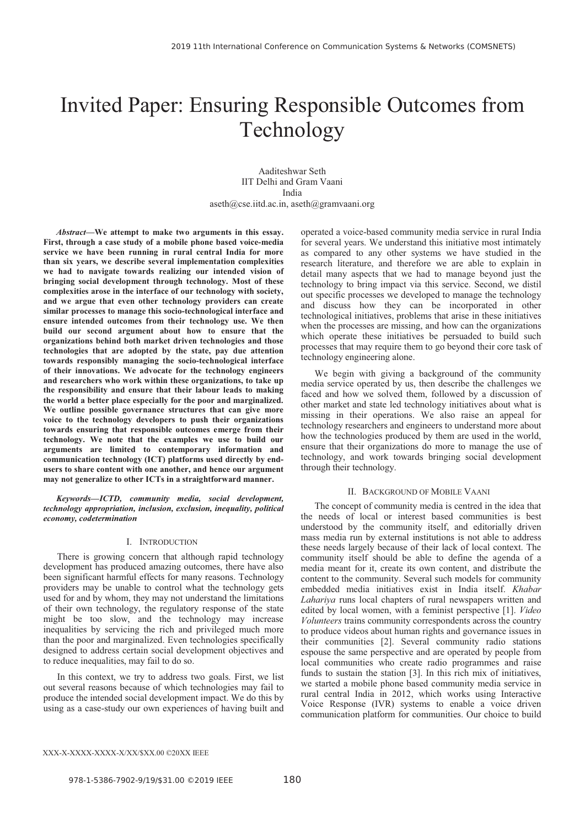# Invited Paper: Ensuring Responsible Outcomes from Technology

Aaditeshwar Seth IIT Delhi and Gram Vaani India aseth@cse.iitd.ac.in, aseth@gramvaani.org

*Abstract***—We attempt to make two arguments in this essay. First, through a case study of a mobile phone based voice-media service we have been running in rural central India for more than six years, we describe several implementation complexities we had to navigate towards realizing our intended vision of bringing social development through technology. Most of these complexities arose in the interface of our technology with society, and we argue that even other technology providers can create similar processes to manage this socio-technological interface and ensure intended outcomes from their technology use. We then build our second argument about how to ensure that the organizations behind both market driven technologies and those technologies that are adopted by the state, pay due attention towards responsibly managing the socio-technological interface of their innovations. We advocate for the technology engineers and researchers who work within these organizations, to take up the responsibility and ensure that their labour leads to making the world a better place especially for the poor and marginalized. We outline possible governance structures that can give more voice to the technology developers to push their organizations towards ensuring that responsible outcomes emerge from their technology. We note that the examples we use to build our arguments are limited to contemporary information and communication technology (ICT) platforms used directly by endusers to share content with one another, and hence our argument may not generalize to other ICTs in a straightforward manner.** 

*Keywords—ICTD, community media, social development, technology appropriation, inclusion, exclusion, inequality, political economy, codetermination* 

#### I. INTRODUCTION

There is growing concern that although rapid technology development has produced amazing outcomes, there have also been significant harmful effects for many reasons. Technology providers may be unable to control what the technology gets used for and by whom, they may not understand the limitations of their own technology, the regulatory response of the state might be too slow, and the technology may increase inequalities by servicing the rich and privileged much more than the poor and marginalized. Even technologies specifically designed to address certain social development objectives and to reduce inequalities, may fail to do so.

In this context, we try to address two goals. First, we list out several reasons because of which technologies may fail to produce the intended social development impact. We do this by using as a case-study our own experiences of having built and operated a voice-based community media service in rural India for several years. We understand this initiative most intimately as compared to any other systems we have studied in the research literature, and therefore we are able to explain in detail many aspects that we had to manage beyond just the technology to bring impact via this service. Second, we distil out specific processes we developed to manage the technology and discuss how they can be incorporated in other technological initiatives, problems that arise in these initiatives when the processes are missing, and how can the organizations which operate these initiatives be persuaded to build such processes that may require them to go beyond their core task of technology engineering alone.

We begin with giving a background of the community media service operated by us, then describe the challenges we faced and how we solved them, followed by a discussion of other market and state led technology initiatives about what is missing in their operations. We also raise an appeal for technology researchers and engineers to understand more about how the technologies produced by them are used in the world, ensure that their organizations do more to manage the use of technology, and work towards bringing social development through their technology.

#### II. BACKGROUND OF MOBILE VAANI

The concept of community media is centred in the idea that the needs of local or interest based communities is best understood by the community itself, and editorially driven mass media run by external institutions is not able to address these needs largely because of their lack of local context. The community itself should be able to define the agenda of a media meant for it, create its own content, and distribute the content to the community. Several such models for community embedded media initiatives exist in India itself. *Khabar Lahariya* runs local chapters of rural newspapers written and edited by local women, with a feminist perspective [1]. *Video Volunteers* trains community correspondents across the country to produce videos about human rights and governance issues in their communities [2]. Several community radio stations espouse the same perspective and are operated by people from local communities who create radio programmes and raise funds to sustain the station [3]. In this rich mix of initiatives, we started a mobile phone based community media service in rural central India in 2012, which works using Interactive Voice Response (IVR) systems to enable a voice driven communication platform for communities. Our choice to build

#### XXX-X-XXXX-XXXX-X/XX/\$XX.00 ©20XX IEEE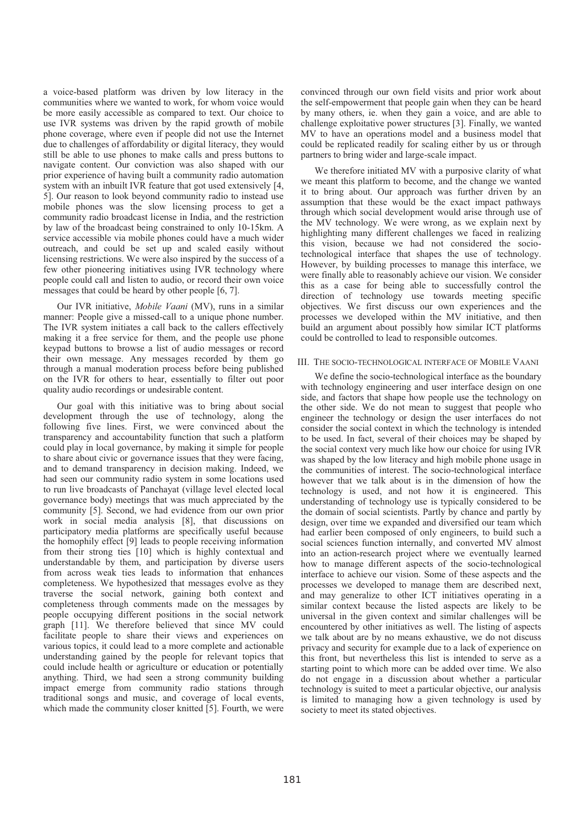a voice-based platform was driven by low literacy in the communities where we wanted to work, for whom voice would be more easily accessible as compared to text. Our choice to use IVR systems was driven by the rapid growth of mobile phone coverage, where even if people did not use the Internet due to challenges of affordability or digital literacy, they would still be able to use phones to make calls and press buttons to navigate content. Our conviction was also shaped with our prior experience of having built a community radio automation system with an inbuilt IVR feature that got used extensively [4, 5]. Our reason to look beyond community radio to instead use mobile phones was the slow licensing process to get a community radio broadcast license in India, and the restriction by law of the broadcast being constrained to only 10-15km. A service accessible via mobile phones could have a much wider outreach, and could be set up and scaled easily without licensing restrictions. We were also inspired by the success of a few other pioneering initiatives using IVR technology where people could call and listen to audio, or record their own voice messages that could be heard by other people [6, 7].

Our IVR initiative, *Mobile Vaani* (MV), runs in a similar manner: People give a missed-call to a unique phone number. The IVR system initiates a call back to the callers effectively making it a free service for them, and the people use phone keypad buttons to browse a list of audio messages or record their own message. Any messages recorded by them go through a manual moderation process before being published on the IVR for others to hear, essentially to filter out poor quality audio recordings or undesirable content.

Our goal with this initiative was to bring about social development through the use of technology, along the following five lines. First, we were convinced about the transparency and accountability function that such a platform could play in local governance, by making it simple for people to share about civic or governance issues that they were facing, and to demand transparency in decision making. Indeed, we had seen our community radio system in some locations used to run live broadcasts of Panchayat (village level elected local governance body) meetings that was much appreciated by the community [5]. Second, we had evidence from our own prior work in social media analysis [8], that discussions on participatory media platforms are specifically useful because the homophily effect [9] leads to people receiving information from their strong ties [10] which is highly contextual and understandable by them, and participation by diverse users from across weak ties leads to information that enhances completeness. We hypothesized that messages evolve as they traverse the social network, gaining both context and completeness through comments made on the messages by people occupying different positions in the social network graph [11]. We therefore believed that since MV could facilitate people to share their views and experiences on various topics, it could lead to a more complete and actionable understanding gained by the people for relevant topics that could include health or agriculture or education or potentially anything. Third, we had seen a strong community building impact emerge from community radio stations through traditional songs and music, and coverage of local events, which made the community closer knitted [5]. Fourth, we were

convinced through our own field visits and prior work about the self-empowerment that people gain when they can be heard by many others, ie. when they gain a voice, and are able to challenge exploitative power structures [3]. Finally, we wanted MV to have an operations model and a business model that could be replicated readily for scaling either by us or through partners to bring wider and large-scale impact.

We therefore initiated MV with a purposive clarity of what we meant this platform to become, and the change we wanted it to bring about. Our approach was further driven by an assumption that these would be the exact impact pathways through which social development would arise through use of the MV technology. We were wrong, as we explain next by highlighting many different challenges we faced in realizing this vision, because we had not considered the sociotechnological interface that shapes the use of technology. However, by building processes to manage this interface, we were finally able to reasonably achieve our vision. We consider this as a case for being able to successfully control the direction of technology use towards meeting specific objectives. We first discuss our own experiences and the processes we developed within the MV initiative, and then build an argument about possibly how similar ICT platforms could be controlled to lead to responsible outcomes.

# III. THE SOCIO-TECHNOLOGICAL INTERFACE OF MOBILE VAANI

We define the socio-technological interface as the boundary with technology engineering and user interface design on one side, and factors that shape how people use the technology on the other side. We do not mean to suggest that people who engineer the technology or design the user interfaces do not consider the social context in which the technology is intended to be used. In fact, several of their choices may be shaped by the social context very much like how our choice for using IVR was shaped by the low literacy and high mobile phone usage in the communities of interest. The socio-technological interface however that we talk about is in the dimension of how the technology is used, and not how it is engineered. This understanding of technology use is typically considered to be the domain of social scientists. Partly by chance and partly by design, over time we expanded and diversified our team which had earlier been composed of only engineers, to build such a social sciences function internally, and converted MV almost into an action-research project where we eventually learned how to manage different aspects of the socio-technological interface to achieve our vision. Some of these aspects and the processes we developed to manage them are described next, and may generalize to other ICT initiatives operating in a similar context because the listed aspects are likely to be universal in the given context and similar challenges will be encountered by other initiatives as well. The listing of aspects we talk about are by no means exhaustive, we do not discuss privacy and security for example due to a lack of experience on this front, but nevertheless this list is intended to serve as a starting point to which more can be added over time. We also do not engage in a discussion about whether a particular technology is suited to meet a particular objective, our analysis is limited to managing how a given technology is used by society to meet its stated objectives.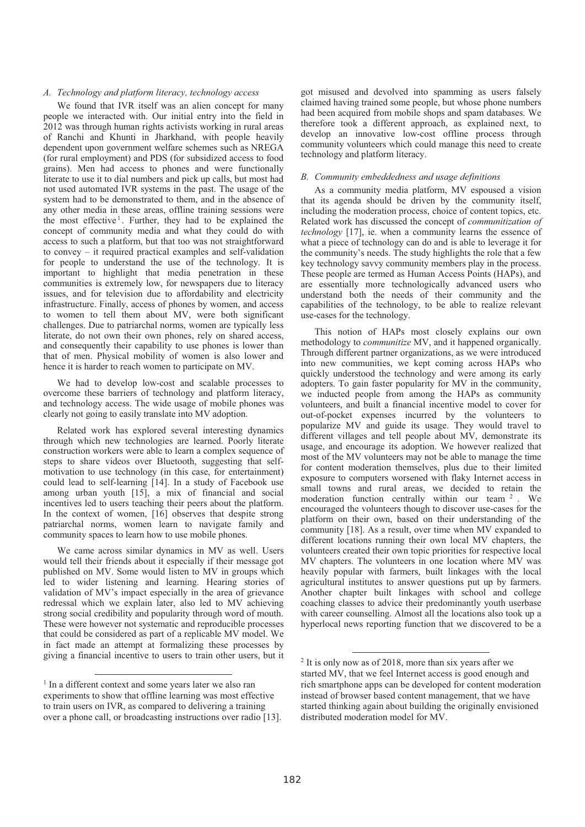## *A. Technology and platform literacy, technology access*

We found that IVR itself was an alien concept for many people we interacted with. Our initial entry into the field in 2012 was through human rights activists working in rural areas of Ranchi and Khunti in Jharkhand, with people heavily dependent upon government welfare schemes such as NREGA (for rural employment) and PDS (for subsidized access to food grains). Men had access to phones and were functionally literate to use it to dial numbers and pick up calls, but most had not used automated IVR systems in the past. The usage of the system had to be demonstrated to them, and in the absence of any other media in these areas, offline training sessions were the most effective<sup>1</sup>. Further, they had to be explained the concept of community media and what they could do with access to such a platform, but that too was not straightforward to convey – it required practical examples and self-validation for people to understand the use of the technology. It is important to highlight that media penetration in these communities is extremely low, for newspapers due to literacy issues, and for television due to affordability and electricity infrastructure. Finally, access of phones by women, and access to women to tell them about MV, were both significant challenges. Due to patriarchal norms, women are typically less literate, do not own their own phones, rely on shared access, and consequently their capability to use phones is lower than that of men. Physical mobility of women is also lower and hence it is harder to reach women to participate on MV.

We had to develop low-cost and scalable processes to overcome these barriers of technology and platform literacy, and technology access. The wide usage of mobile phones was clearly not going to easily translate into MV adoption.

Related work has explored several interesting dynamics through which new technologies are learned. Poorly literate construction workers were able to learn a complex sequence of steps to share videos over Bluetooth, suggesting that selfmotivation to use technology (in this case, for entertainment) could lead to self-learning [14]. In a study of Facebook use among urban youth [15], a mix of financial and social incentives led to users teaching their peers about the platform. In the context of women, [16] observes that despite strong patriarchal norms, women learn to navigate family and community spaces to learn how to use mobile phones.

We came across similar dynamics in MV as well. Users would tell their friends about it especially if their message got published on MV. Some would listen to MV in groups which led to wider listening and learning. Hearing stories of validation of MV's impact especially in the area of grievance redressal which we explain later, also led to MV achieving strong social credibility and popularity through word of mouth. These were however not systematic and reproducible processes that could be considered as part of a replicable MV model. We in fact made an attempt at formalizing these processes by giving a financial incentive to users to train other users, but it

got misused and devolved into spamming as users falsely claimed having trained some people, but whose phone numbers had been acquired from mobile shops and spam databases. We therefore took a different approach, as explained next, to develop an innovative low-cost offline process through community volunteers which could manage this need to create technology and platform literacy.

## *B. Community embeddedness and usage definitions*

As a community media platform, MV espoused a vision that its agenda should be driven by the community itself, including the moderation process, choice of content topics, etc. Related work has discussed the concept of *communitization of technology* [17], ie. when a community learns the essence of what a piece of technology can do and is able to leverage it for the community's needs. The study highlights the role that a few key technology savvy community members play in the process. These people are termed as Human Access Points (HAPs), and are essentially more technologically advanced users who understand both the needs of their community and the capabilities of the technology, to be able to realize relevant use-cases for the technology.

This notion of HAPs most closely explains our own methodology to *communitize* MV, and it happened organically. Through different partner organizations, as we were introduced into new communities, we kept coming across HAPs who quickly understood the technology and were among its early adopters. To gain faster popularity for MV in the community, we inducted people from among the HAPs as community volunteers, and built a financial incentive model to cover for out-of-pocket expenses incurred by the volunteers to popularize MV and guide its usage. They would travel to different villages and tell people about MV, demonstrate its usage, and encourage its adoption. We however realized that most of the MV volunteers may not be able to manage the time for content moderation themselves, plus due to their limited exposure to computers worsened with flaky Internet access in small towns and rural areas, we decided to retain the moderation function centrally within our team <sup>2</sup> . We encouraged the volunteers though to discover use-cases for the platform on their own, based on their understanding of the community [18]. As a result, over time when MV expanded to different locations running their own local MV chapters, the volunteers created their own topic priorities for respective local MV chapters. The volunteers in one location where MV was heavily popular with farmers, built linkages with the local agricultural institutes to answer questions put up by farmers. Another chapter built linkages with school and college coaching classes to advice their predominantly youth userbase with career counselling. Almost all the locations also took up a hyperlocal news reporting function that we discovered to be a

 <sup>1</sup> In a different context and some years later we also ran experiments to show that offline learning was most effective to train users on IVR, as compared to delivering a training over a phone call, or broadcasting instructions over radio [13].

<sup>&</sup>lt;sup>2</sup> It is only now as of 2018, more than six years after we started MV, that we feel Internet access is good enough and rich smartphone apps can be developed for content moderation instead of browser based content management, that we have started thinking again about building the originally envisioned distributed moderation model for MV.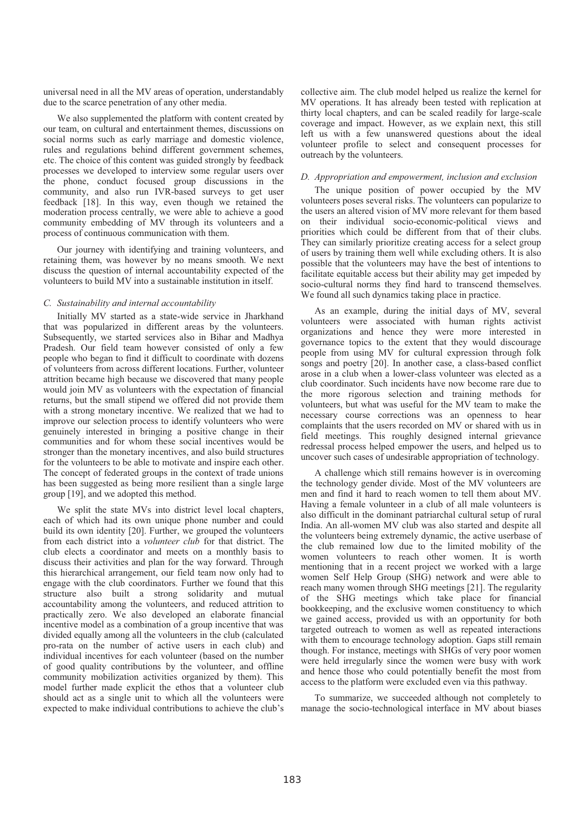universal need in all the MV areas of operation, understandably due to the scarce penetration of any other media.

We also supplemented the platform with content created by our team, on cultural and entertainment themes, discussions on social norms such as early marriage and domestic violence, rules and regulations behind different government schemes, etc. The choice of this content was guided strongly by feedback processes we developed to interview some regular users over the phone, conduct focused group discussions in the community, and also run IVR-based surveys to get user feedback [18]. In this way, even though we retained the moderation process centrally, we were able to achieve a good community embedding of MV through its volunteers and a process of continuous communication with them.

Our journey with identifying and training volunteers, and retaining them, was however by no means smooth. We next discuss the question of internal accountability expected of the volunteers to build MV into a sustainable institution in itself.

### *C. Sustainability and internal accountability*

Initially MV started as a state-wide service in Jharkhand that was popularized in different areas by the volunteers. Subsequently, we started services also in Bihar and Madhya Pradesh. Our field team however consisted of only a few people who began to find it difficult to coordinate with dozens of volunteers from across different locations. Further, volunteer attrition became high because we discovered that many people would join MV as volunteers with the expectation of financial returns, but the small stipend we offered did not provide them with a strong monetary incentive. We realized that we had to improve our selection process to identify volunteers who were genuinely interested in bringing a positive change in their communities and for whom these social incentives would be stronger than the monetary incentives, and also build structures for the volunteers to be able to motivate and inspire each other. The concept of federated groups in the context of trade unions has been suggested as being more resilient than a single large group [19], and we adopted this method.

We split the state MVs into district level local chapters, each of which had its own unique phone number and could build its own identity [20]. Further, we grouped the volunteers from each district into a *volunteer club* for that district. The club elects a coordinator and meets on a monthly basis to discuss their activities and plan for the way forward. Through this hierarchical arrangement, our field team now only had to engage with the club coordinators. Further we found that this structure also built a strong solidarity and mutual accountability among the volunteers, and reduced attrition to practically zero. We also developed an elaborate financial incentive model as a combination of a group incentive that was divided equally among all the volunteers in the club (calculated pro-rata on the number of active users in each club) and individual incentives for each volunteer (based on the number of good quality contributions by the volunteer, and offline community mobilization activities organized by them). This model further made explicit the ethos that a volunteer club should act as a single unit to which all the volunteers were expected to make individual contributions to achieve the club's

collective aim. The club model helped us realize the kernel for MV operations. It has already been tested with replication at thirty local chapters, and can be scaled readily for large-scale coverage and impact. However, as we explain next, this still left us with a few unanswered questions about the ideal volunteer profile to select and consequent processes for outreach by the volunteers.

#### *D. Appropriation and empowerment, inclusion and exclusion*

The unique position of power occupied by the MV volunteers poses several risks. The volunteers can popularize to the users an altered vision of MV more relevant for them based on their individual socio-economic-political views and priorities which could be different from that of their clubs. They can similarly prioritize creating access for a select group of users by training them well while excluding others. It is also possible that the volunteers may have the best of intentions to facilitate equitable access but their ability may get impeded by socio-cultural norms they find hard to transcend themselves. We found all such dynamics taking place in practice.

As an example, during the initial days of MV, several volunteers were associated with human rights activist organizations and hence they were more interested in governance topics to the extent that they would discourage people from using MV for cultural expression through folk songs and poetry [20]. In another case, a class-based conflict arose in a club when a lower-class volunteer was elected as a club coordinator. Such incidents have now become rare due to the more rigorous selection and training methods for volunteers, but what was useful for the MV team to make the necessary course corrections was an openness to hear complaints that the users recorded on MV or shared with us in field meetings. This roughly designed internal grievance redressal process helped empower the users, and helped us to uncover such cases of undesirable appropriation of technology.

A challenge which still remains however is in overcoming the technology gender divide. Most of the MV volunteers are men and find it hard to reach women to tell them about MV. Having a female volunteer in a club of all male volunteers is also difficult in the dominant patriarchal cultural setup of rural India. An all-women MV club was also started and despite all the volunteers being extremely dynamic, the active userbase of the club remained low due to the limited mobility of the women volunteers to reach other women. It is worth mentioning that in a recent project we worked with a large women Self Help Group (SHG) network and were able to reach many women through SHG meetings [21]. The regularity of the SHG meetings which take place for financial bookkeeping, and the exclusive women constituency to which we gained access, provided us with an opportunity for both targeted outreach to women as well as repeated interactions with them to encourage technology adoption. Gaps still remain though. For instance, meetings with SHGs of very poor women were held irregularly since the women were busy with work and hence those who could potentially benefit the most from access to the platform were excluded even via this pathway.

To summarize, we succeeded although not completely to manage the socio-technological interface in MV about biases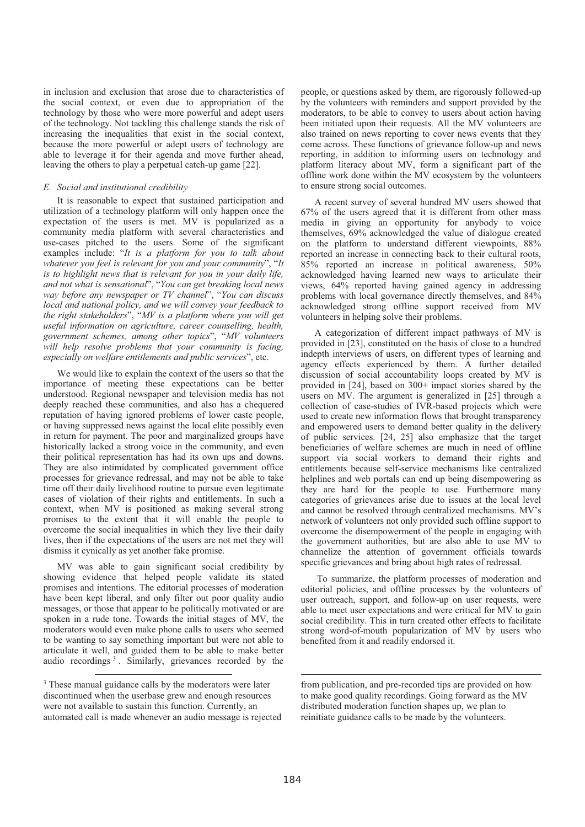in inclusion and exclusion that arose due to characteristics of the social context, or even due to appropriation of the technology by those who were more powerful and adept users of the technology. Not tackling this challenge stands the risk of increasing the inequalities that exist in the social context, because the more powerful or adept users of technology are able to leverage it for their agenda and move further ahead, leaving the others to play a perpetual catch-up game [22].

## *E. Social and institutional credibility*

It is reasonable to expect that sustained participation and utilization of a technology platform will only happen once the expectation of the users is met. MV is popularized as a community media platform with several characteristics and use-cases pitched to the users. Some of the significant examples include: "*It is a platform for you to talk about whatever you feel is relevant for you and your community*", "*It is to highlight news that is relevant for you in your daily life, and not what is sensational*", "*You can get breaking local news way before any newspaper or TV channel*", "*You can discuss local and national policy, and we will convey your feedback to the right stakeholders*", "*MV is a platform where you will get useful information on agriculture, career counselling, health, government schemes, among other topics*", "*MV volunteers will help resolve problems that your community is facing, especially on welfare entitlements and public services*", etc.

We would like to explain the context of the users so that the importance of meeting these expectations can be better understood. Regional newspaper and television media has not deeply reached these communities, and also has a chequered reputation of having ignored problems of lower caste people, or having suppressed news against the local elite possibly even in return for payment. The poor and marginalized groups have historically lacked a strong voice in the community, and even their political representation has had its own ups and downs. They are also intimidated by complicated government office processes for grievance redressal, and may not be able to take time off their daily livelihood routine to pursue even legitimate cases of violation of their rights and entitlements. In such a context, when MV is positioned as making several strong promises to the extent that it will enable the people to overcome the social inequalities in which they live their daily lives, then if the expectations of the users are not met they will dismiss it cynically as yet another fake promise.

MV was able to gain significant social credibility by showing evidence that helped people validate its stated promises and intentions. The editorial processes of moderation have been kept liberal, and only filter out poor quality audio messages, or those that appear to be politically motivated or are spoken in a rude tone. Towards the initial stages of MV, the moderators would even make phone calls to users who seemed to be wanting to say something important but were not able to articulate it well, and guided them to be able to make better audio recordings <sup>3</sup> . Similarly, grievances recorded by the

people, or questions asked by them, are rigorously followed-up by the volunteers with reminders and support provided by the moderators, to be able to convey to users about action having been initiated upon their requests. All the MV volunteers are also trained on news reporting to cover news events that they come across. These functions of grievance follow-up and news reporting, in addition to informing users on technology and platform literacy about MV, form a significant part of the offline work done within the MV ecosystem by the volunteers to ensure strong social outcomes.

A recent survey of several hundred MV users showed that 67% of the users agreed that it is different from other mass media in giving an opportunity for anybody to voice themselves, 69% acknowledged the value of dialogue created on the platform to understand different viewpoints, 88% reported an increase in connecting back to their cultural roots, 85% reported an increase in political awareness, 50% acknowledged having learned new ways to articulate their views, 64% reported having gained agency in addressing problems with local governance directly themselves, and 84% acknowledged strong offline support received from MV volunteers in helping solve their problems.

A categorization of different impact pathways of MV is provided in [23], constituted on the basis of close to a hundred indepth interviews of users, on different types of learning and agency effects experienced by them. A further detailed discussion of social accountability loops created by MV is provided in [24], based on 300+ impact stories shared by the users on MV. The argument is generalized in [25] through a collection of case-studies of IVR-based projects which were used to create new information flows that brought transparency and empowered users to demand better quality in the delivery of public services. [24, 25] also emphasize that the target beneficiaries of welfare schemes are much in need of offline support via social workers to demand their rights and entitlements because self-service mechanisms like centralized helplines and web portals can end up being disempowering as they are hard for the people to use. Furthermore many categories of grievances arise due to issues at the local level and cannot be resolved through centralized mechanisms. MV's network of volunteers not only provided such offline support to overcome the disempowerment of the people in engaging with the government authorities, but are also able to use MV to channelize the attention of government officials towards specific grievances and bring about high rates of redressal.

 To summarize, the platform processes of moderation and editorial policies, and offline processes by the volunteers of user outreach, support, and follow-up on user requests, were able to meet user expectations and were critical for MV to gain social credibility. This in turn created other effects to facilitate strong word-of-mouth popularization of MV by users who benefited from it and readily endorsed it.

.

<sup>&</sup>lt;sup>3</sup> These manual guidance calls by the moderators were later discontinued when the userbase grew and enough resources were not available to sustain this function. Currently, an automated call is made whenever an audio message is rejected

from publication, and pre-recorded tips are provided on how to make good quality recordings. Going forward as the MV distributed moderation function shapes up, we plan to reinitiate guidance calls to be made by the volunteers.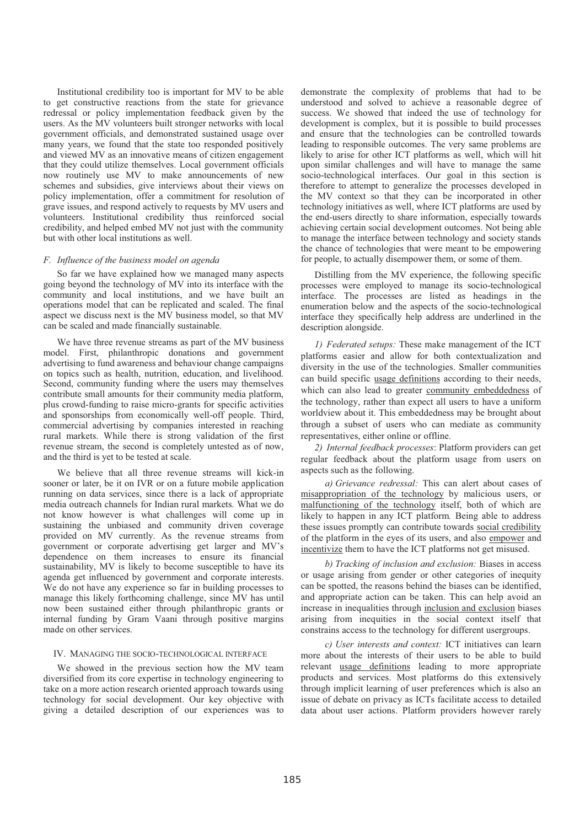Institutional credibility too is important for MV to be able to get constructive reactions from the state for grievance redressal or policy implementation feedback given by the users. As the MV volunteers built stronger networks with local government officials, and demonstrated sustained usage over many years, we found that the state too responded positively and viewed MV as an innovative means of citizen engagement that they could utilize themselves. Local government officials now routinely use MV to make announcements of new schemes and subsidies, give interviews about their views on policy implementation, offer a commitment for resolution of grave issues, and respond actively to requests by MV users and volunteers. Institutional credibility thus reinforced social credibility, and helped embed MV not just with the community but with other local institutions as well.

### *F. Influence of the business model on agenda*

So far we have explained how we managed many aspects going beyond the technology of MV into its interface with the community and local institutions, and we have built an operations model that can be replicated and scaled. The final aspect we discuss next is the MV business model, so that MV can be scaled and made financially sustainable.

We have three revenue streams as part of the MV business model. First, philanthropic donations and government advertising to fund awareness and behaviour change campaigns on topics such as health, nutrition, education, and livelihood. Second, community funding where the users may themselves contribute small amounts for their community media platform, plus crowd-funding to raise micro-grants for specific activities and sponsorships from economically well-off people. Third, commercial advertising by companies interested in reaching rural markets. While there is strong validation of the first revenue stream, the second is completely untested as of now, and the third is yet to be tested at scale.

We believe that all three revenue streams will kick-in sooner or later, be it on IVR or on a future mobile application running on data services, since there is a lack of appropriate media outreach channels for Indian rural markets. What we do not know however is what challenges will come up in sustaining the unbiased and community driven coverage provided on MV currently. As the revenue streams from government or corporate advertising get larger and MV's dependence on them increases to ensure its financial sustainability, MV is likely to become susceptible to have its agenda get influenced by government and corporate interests. We do not have any experience so far in building processes to manage this likely forthcoming challenge, since MV has until now been sustained either through philanthropic grants or internal funding by Gram Vaani through positive margins made on other services.

## IV. MANAGING THE SOCIO-TECHNOLOGICAL INTERFACE

We showed in the previous section how the MV team diversified from its core expertise in technology engineering to take on a more action research oriented approach towards using technology for social development. Our key objective with giving a detailed description of our experiences was to demonstrate the complexity of problems that had to be understood and solved to achieve a reasonable degree of success. We showed that indeed the use of technology for development is complex, but it is possible to build processes and ensure that the technologies can be controlled towards leading to responsible outcomes. The very same problems are likely to arise for other ICT platforms as well, which will hit upon similar challenges and will have to manage the same socio-technological interfaces. Our goal in this section is therefore to attempt to generalize the processes developed in the MV context so that they can be incorporated in other technology initiatives as well, where ICT platforms are used by the end-users directly to share information, especially towards achieving certain social development outcomes. Not being able to manage the interface between technology and society stands the chance of technologies that were meant to be empowering for people, to actually disempower them, or some of them.

Distilling from the MV experience, the following specific processes were employed to manage its socio-technological interface. The processes are listed as headings in the enumeration below and the aspects of the socio-technological interface they specifically help address are underlined in the description alongside.

*1) Federated setups:* These make management of the ICT platforms easier and allow for both contextualization and diversity in the use of the technologies. Smaller communities can build specific usage definitions according to their needs, which can also lead to greater community embeddedness of the technology, rather than expect all users to have a uniform worldview about it. This embeddedness may be brought about through a subset of users who can mediate as community representatives, either online or offline.

*2) Internal feedback processes*: Platform providers can get regular feedback about the platform usage from users on aspects such as the following.

*a) Grievance redressal:* This can alert about cases of misappropriation of the technology by malicious users, or malfunctioning of the technology itself, both of which are likely to happen in any ICT platform*.* Being able to address these issues promptly can contribute towards social credibility of the platform in the eyes of its users, and also empower and incentivize them to have the ICT platforms not get misused.

*b) Tracking of inclusion and exclusion:* Biases in access or usage arising from gender or other categories of inequity can be spotted, the reasons behind the biases can be identified, and appropriate action can be taken. This can help avoid an increase in inequalities through inclusion and exclusion biases arising from inequities in the social context itself that constrains access to the technology for different usergroups.

*c) User interests and context:* ICT initiatives can learn more about the interests of their users to be able to build relevant usage definitions leading to more appropriate products and services. Most platforms do this extensively through implicit learning of user preferences which is also an issue of debate on privacy as ICTs facilitate access to detailed data about user actions. Platform providers however rarely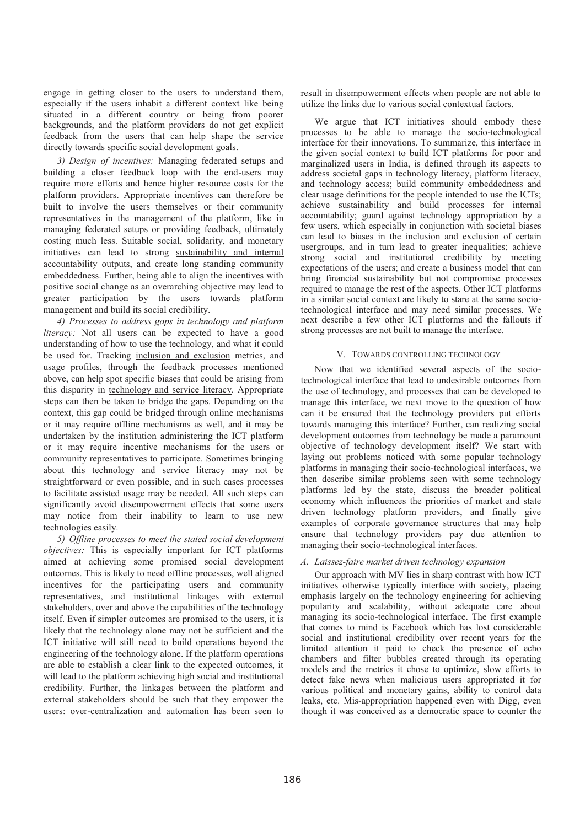engage in getting closer to the users to understand them, especially if the users inhabit a different context like being situated in a different country or being from poorer backgrounds, and the platform providers do not get explicit feedback from the users that can help shape the service directly towards specific social development goals.

*3) Design of incentives:* Managing federated setups and building a closer feedback loop with the end-users may require more efforts and hence higher resource costs for the platform providers. Appropriate incentives can therefore be built to involve the users themselves or their community representatives in the management of the platform, like in managing federated setups or providing feedback, ultimately costing much less. Suitable social, solidarity, and monetary initiatives can lead to strong sustainability and internal accountability outputs, and create long standing community embeddedness. Further, being able to align the incentives with positive social change as an overarching objective may lead to greater participation by the users towards platform management and build its social credibility.

*4) Processes to address gaps in technology and platform literacy:* Not all users can be expected to have a good understanding of how to use the technology, and what it could be used for. Tracking inclusion and exclusion metrics, and usage profiles, through the feedback processes mentioned above, can help spot specific biases that could be arising from this disparity in technology and service literacy. Appropriate steps can then be taken to bridge the gaps. Depending on the context, this gap could be bridged through online mechanisms or it may require offline mechanisms as well, and it may be undertaken by the institution administering the ICT platform or it may require incentive mechanisms for the users or community representatives to participate. Sometimes bringing about this technology and service literacy may not be straightforward or even possible, and in such cases processes to facilitate assisted usage may be needed. All such steps can significantly avoid disempowerment effects that some users may notice from their inability to learn to use new technologies easily.

*5) Offline processes to meet the stated social development objectives:* This is especially important for ICT platforms aimed at achieving some promised social development outcomes. This is likely to need offline processes, well aligned incentives for the participating users and community representatives, and institutional linkages with external stakeholders, over and above the capabilities of the technology itself. Even if simpler outcomes are promised to the users, it is likely that the technology alone may not be sufficient and the ICT initiative will still need to build operations beyond the engineering of the technology alone. If the platform operations are able to establish a clear link to the expected outcomes, it will lead to the platform achieving high social and institutional credibility*.* Further, the linkages between the platform and external stakeholders should be such that they empower the users: over-centralization and automation has been seen to result in disempowerment effects when people are not able to utilize the links due to various social contextual factors.

We argue that ICT initiatives should embody these processes to be able to manage the socio-technological interface for their innovations. To summarize, this interface in the given social context to build ICT platforms for poor and marginalized users in India, is defined through its aspects to address societal gaps in technology literacy, platform literacy, and technology access; build community embeddedness and clear usage definitions for the people intended to use the ICTs; achieve sustainability and build processes for internal accountability; guard against technology appropriation by a few users, which especially in conjunction with societal biases can lead to biases in the inclusion and exclusion of certain usergroups, and in turn lead to greater inequalities; achieve strong social and institutional credibility by meeting expectations of the users; and create a business model that can bring financial sustainability but not compromise processes required to manage the rest of the aspects. Other ICT platforms in a similar social context are likely to stare at the same sociotechnological interface and may need similar processes. We next describe a few other ICT platforms and the fallouts if strong processes are not built to manage the interface.

## V. TOWARDS CONTROLLING TECHNOLOGY

Now that we identified several aspects of the sociotechnological interface that lead to undesirable outcomes from the use of technology, and processes that can be developed to manage this interface, we next move to the question of how can it be ensured that the technology providers put efforts towards managing this interface? Further, can realizing social development outcomes from technology be made a paramount objective of technology development itself? We start with laying out problems noticed with some popular technology platforms in managing their socio-technological interfaces, we then describe similar problems seen with some technology platforms led by the state, discuss the broader political economy which influences the priorities of market and state driven technology platform providers, and finally give examples of corporate governance structures that may help ensure that technology providers pay due attention to managing their socio-technological interfaces.

## *A. Laissez-faire market driven technology expansion*

Our approach with MV lies in sharp contrast with how ICT initiatives otherwise typically interface with society, placing emphasis largely on the technology engineering for achieving popularity and scalability, without adequate care about managing its socio-technological interface. The first example that comes to mind is Facebook which has lost considerable social and institutional credibility over recent years for the limited attention it paid to check the presence of echo chambers and filter bubbles created through its operating models and the metrics it chose to optimize, slow efforts to detect fake news when malicious users appropriated it for various political and monetary gains, ability to control data leaks, etc. Mis-appropriation happened even with Digg, even though it was conceived as a democratic space to counter the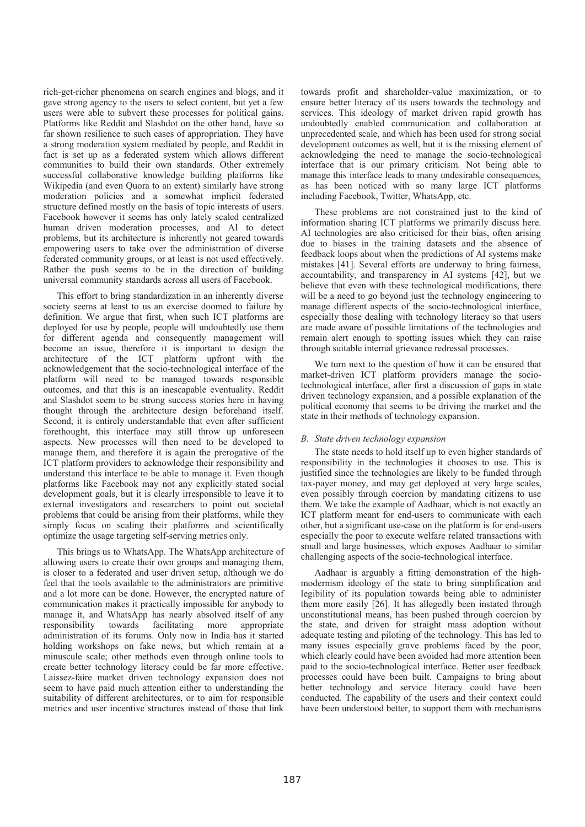rich-get-richer phenomena on search engines and blogs, and it gave strong agency to the users to select content, but yet a few users were able to subvert these processes for political gains. Platforms like Reddit and Slashdot on the other hand, have so far shown resilience to such cases of appropriation. They have a strong moderation system mediated by people, and Reddit in fact is set up as a federated system which allows different communities to build their own standards. Other extremely successful collaborative knowledge building platforms like Wikipedia (and even Quora to an extent) similarly have strong moderation policies and a somewhat implicit federated structure defined mostly on the basis of topic interests of users. Facebook however it seems has only lately scaled centralized human driven moderation processes, and AI to detect problems, but its architecture is inherently not geared towards empowering users to take over the administration of diverse federated community groups, or at least is not used effectively. Rather the push seems to be in the direction of building universal community standards across all users of Facebook.

This effort to bring standardization in an inherently diverse society seems at least to us an exercise doomed to failure by definition. We argue that first, when such ICT platforms are deployed for use by people, people will undoubtedly use them for different agenda and consequently management will become an issue, therefore it is important to design the architecture of the ICT platform upfront with the platform upfront with the acknowledgement that the socio-technological interface of the platform will need to be managed towards responsible outcomes, and that this is an inescapable eventuality. Reddit and Slashdot seem to be strong success stories here in having thought through the architecture design beforehand itself. Second, it is entirely understandable that even after sufficient forethought, this interface may still throw up unforeseen aspects. New processes will then need to be developed to manage them, and therefore it is again the prerogative of the ICT platform providers to acknowledge their responsibility and understand this interface to be able to manage it. Even though platforms like Facebook may not any explicitly stated social development goals, but it is clearly irresponsible to leave it to external investigators and researchers to point out societal problems that could be arising from their platforms, while they simply focus on scaling their platforms and scientifically optimize the usage targeting self-serving metrics only.

This brings us to WhatsApp. The WhatsApp architecture of allowing users to create their own groups and managing them, is closer to a federated and user driven setup, although we do feel that the tools available to the administrators are primitive and a lot more can be done. However, the encrypted nature of communication makes it practically impossible for anybody to manage it, and WhatsApp has nearly absolved itself of any responsibility towards facilitating more appropriate administration of its forums. Only now in India has it started holding workshops on fake news, but which remain at a minuscule scale; other methods even through online tools to create better technology literacy could be far more effective. Laissez-faire market driven technology expansion does not seem to have paid much attention either to understanding the suitability of different architectures, or to aim for responsible metrics and user incentive structures instead of those that link

towards profit and shareholder-value maximization, or to ensure better literacy of its users towards the technology and services. This ideology of market driven rapid growth has undoubtedly enabled communication and collaboration at unprecedented scale, and which has been used for strong social development outcomes as well, but it is the missing element of acknowledging the need to manage the socio-technological interface that is our primary criticism. Not being able to manage this interface leads to many undesirable consequences, as has been noticed with so many large ICT platforms including Facebook, Twitter, WhatsApp, etc.

These problems are not constrained just to the kind of information sharing ICT platforms we primarily discuss here. AI technologies are also criticised for their bias, often arising due to biases in the training datasets and the absence of feedback loops about when the predictions of AI systems make mistakes [41]. Several efforts are underway to bring fairness, accountability, and transparency in AI systems [42], but we believe that even with these technological modifications, there will be a need to go beyond just the technology engineering to manage different aspects of the socio-technological interface, especially those dealing with technology literacy so that users are made aware of possible limitations of the technologies and remain alert enough to spotting issues which they can raise through suitable internal grievance redressal processes.

We turn next to the question of how it can be ensured that market-driven ICT platform providers manage the sociotechnological interface, after first a discussion of gaps in state driven technology expansion, and a possible explanation of the political economy that seems to be driving the market and the state in their methods of technology expansion.

## *B. State driven technology expansion*

The state needs to hold itself up to even higher standards of responsibility in the technologies it chooses to use. This is justified since the technologies are likely to be funded through tax-payer money, and may get deployed at very large scales, even possibly through coercion by mandating citizens to use them. We take the example of Aadhaar, which is not exactly an ICT platform meant for end-users to communicate with each other, but a significant use-case on the platform is for end-users especially the poor to execute welfare related transactions with small and large businesses, which exposes Aadhaar to similar challenging aspects of the socio-technological interface.

Aadhaar is arguably a fitting demonstration of the highmodernism ideology of the state to bring simplification and legibility of its population towards being able to administer them more easily [26]. It has allegedly been instated through unconstitutional means, has been pushed through coercion by the state, and driven for straight mass adoption without adequate testing and piloting of the technology. This has led to many issues especially grave problems faced by the poor, which clearly could have been avoided had more attention been paid to the socio-technological interface. Better user feedback processes could have been built. Campaigns to bring about better technology and service literacy could have been conducted. The capability of the users and their context could have been understood better, to support them with mechanisms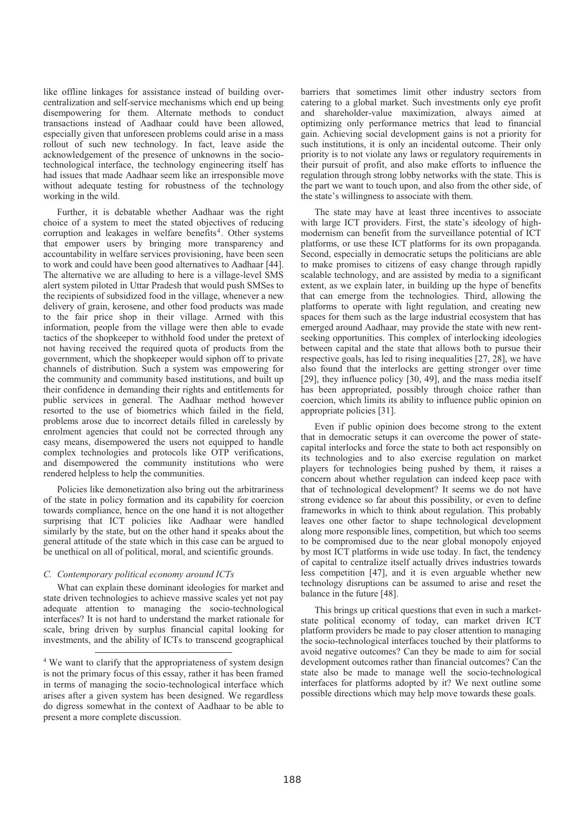like offline linkages for assistance instead of building overcentralization and self-service mechanisms which end up being disempowering for them. Alternate methods to conduct transactions instead of Aadhaar could have been allowed, especially given that unforeseen problems could arise in a mass rollout of such new technology. In fact, leave aside the acknowledgement of the presence of unknowns in the sociotechnological interface, the technology engineering itself has had issues that made Aadhaar seem like an irresponsible move without adequate testing for robustness of the technology working in the wild.

Further, it is debatable whether Aadhaar was the right choice of a system to meet the stated objectives of reducing corruption and leakages in welfare benefits<sup>4</sup>. Other systems that empower users by bringing more transparency and accountability in welfare services provisioning, have been seen to work and could have been good alternatives to Aadhaar [44]. The alternative we are alluding to here is a village-level SMS alert system piloted in Uttar Pradesh that would push SMSes to the recipients of subsidized food in the village, whenever a new delivery of grain, kerosene, and other food products was made to the fair price shop in their village. Armed with this information, people from the village were then able to evade tactics of the shopkeeper to withhold food under the pretext of not having received the required quota of products from the government, which the shopkeeper would siphon off to private channels of distribution. Such a system was empowering for the community and community based institutions, and built up their confidence in demanding their rights and entitlements for public services in general. The Aadhaar method however resorted to the use of biometrics which failed in the field, problems arose due to incorrect details filled in carelessly by enrolment agencies that could not be corrected through any easy means, disempowered the users not equipped to handle complex technologies and protocols like OTP verifications, and disempowered the community institutions who were rendered helpless to help the communities.

Policies like demonetization also bring out the arbitrariness of the state in policy formation and its capability for coercion towards compliance, hence on the one hand it is not altogether surprising that ICT policies like Aadhaar were handled similarly by the state, but on the other hand it speaks about the general attitude of the state which in this case can be argued to be unethical on all of political, moral, and scientific grounds.

# *C. Contemporary political economy around ICTs*

What can explain these dominant ideologies for market and state driven technologies to achieve massive scales yet not pay adequate attention to managing the socio-technological interfaces? It is not hard to understand the market rationale for scale, bring driven by surplus financial capital looking for investments, and the ability of ICTs to transcend geographical barriers that sometimes limit other industry sectors from catering to a global market. Such investments only eye profit and shareholder-value maximization, always aimed at optimizing only performance metrics that lead to financial gain. Achieving social development gains is not a priority for such institutions, it is only an incidental outcome. Their only priority is to not violate any laws or regulatory requirements in their pursuit of profit, and also make efforts to influence the regulation through strong lobby networks with the state. This is the part we want to touch upon, and also from the other side, of the state's willingness to associate with them.

The state may have at least three incentives to associate with large ICT providers. First, the state's ideology of highmodernism can benefit from the surveillance potential of ICT platforms, or use these ICT platforms for its own propaganda. Second, especially in democratic setups the politicians are able to make promises to citizens of easy change through rapidly scalable technology, and are assisted by media to a significant extent, as we explain later, in building up the hype of benefits that can emerge from the technologies. Third, allowing the platforms to operate with light regulation, and creating new spaces for them such as the large industrial ecosystem that has emerged around Aadhaar, may provide the state with new rentseeking opportunities. This complex of interlocking ideologies between capital and the state that allows both to pursue their respective goals, has led to rising inequalities [27, 28], we have also found that the interlocks are getting stronger over time [29], they influence policy [30, 49], and the mass media itself has been appropriated, possibly through choice rather than coercion, which limits its ability to influence public opinion on appropriate policies [31].

Even if public opinion does become strong to the extent that in democratic setups it can overcome the power of statecapital interlocks and force the state to both act responsibly on its technologies and to also exercise regulation on market players for technologies being pushed by them, it raises a concern about whether regulation can indeed keep pace with that of technological development? It seems we do not have strong evidence so far about this possibility, or even to define frameworks in which to think about regulation. This probably leaves one other factor to shape technological development along more responsible lines, competition, but which too seems to be compromised due to the near global monopoly enjoyed by most ICT platforms in wide use today. In fact, the tendency of capital to centralize itself actually drives industries towards less competition [47], and it is even arguable whether new technology disruptions can be assumed to arise and reset the balance in the future [48].

This brings up critical questions that even in such a marketstate political economy of today, can market driven ICT platform providers be made to pay closer attention to managing the socio-technological interfaces touched by their platforms to avoid negative outcomes? Can they be made to aim for social development outcomes rather than financial outcomes? Can the state also be made to manage well the socio-technological interfaces for platforms adopted by it? We next outline some possible directions which may help move towards these goals.

 <sup>4</sup> We want to clarify that the appropriateness of system design is not the primary focus of this essay, rather it has been framed in terms of managing the socio-technological interface which arises after a given system has been designed. We regardless do digress somewhat in the context of Aadhaar to be able to present a more complete discussion.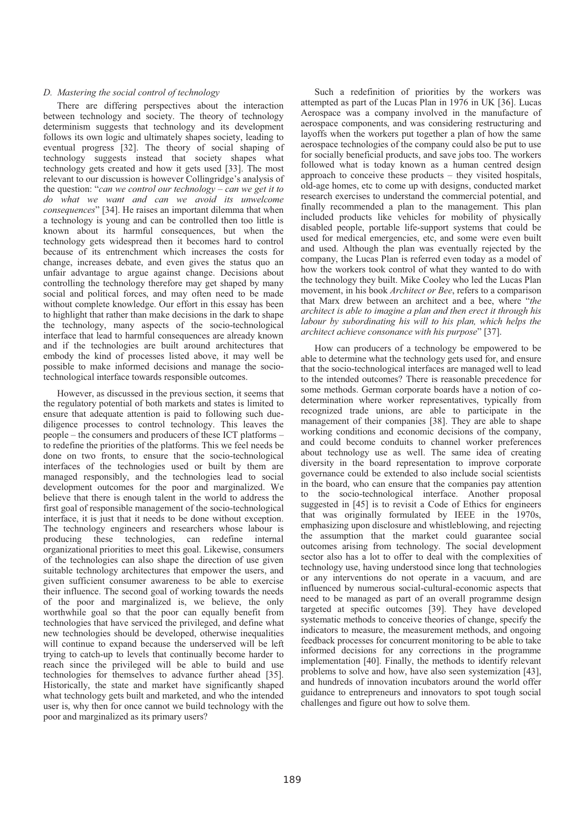## *D. Mastering the social control of technology*

There are differing perspectives about the interaction between technology and society. The theory of technology determinism suggests that technology and its development follows its own logic and ultimately shapes society, leading to eventual progress [32]. The theory of social shaping of technology suggests instead that society shapes what technology gets created and how it gets used [33]. The most relevant to our discussion is however Collingridge's analysis of the question: "*can we control our technology – can we get it to do what we want and can we avoid its unwelcome consequences*" [34]. He raises an important dilemma that when a technology is young and can be controlled then too little is known about its harmful consequences, but when the technology gets widespread then it becomes hard to control because of its entrenchment which increases the costs for change, increases debate, and even gives the status quo an unfair advantage to argue against change. Decisions about controlling the technology therefore may get shaped by many social and political forces, and may often need to be made without complete knowledge. Our effort in this essay has been to highlight that rather than make decisions in the dark to shape the technology, many aspects of the socio-technological interface that lead to harmful consequences are already known and if the technologies are built around architectures that embody the kind of processes listed above, it may well be possible to make informed decisions and manage the sociotechnological interface towards responsible outcomes.

However, as discussed in the previous section, it seems that the regulatory potential of both markets and states is limited to ensure that adequate attention is paid to following such duediligence processes to control technology. This leaves the people – the consumers and producers of these ICT platforms – to redefine the priorities of the platforms. This we feel needs be done on two fronts, to ensure that the socio-technological interfaces of the technologies used or built by them are managed responsibly, and the technologies lead to social development outcomes for the poor and marginalized. We believe that there is enough talent in the world to address the first goal of responsible management of the socio-technological interface, it is just that it needs to be done without exception. The technology engineers and researchers whose labour is producing these technologies, can redefine internal organizational priorities to meet this goal. Likewise, consumers of the technologies can also shape the direction of use given suitable technology architectures that empower the users, and given sufficient consumer awareness to be able to exercise their influence. The second goal of working towards the needs of the poor and marginalized is, we believe, the only worthwhile goal so that the poor can equally benefit from technologies that have serviced the privileged, and define what new technologies should be developed, otherwise inequalities will continue to expand because the underserved will be left trying to catch-up to levels that continually become harder to reach since the privileged will be able to build and use technologies for themselves to advance further ahead [35]. Historically, the state and market have significantly shaped what technology gets built and marketed, and who the intended user is, why then for once cannot we build technology with the poor and marginalized as its primary users?

Such a redefinition of priorities by the workers was attempted as part of the Lucas Plan in 1976 in UK [36]. Lucas Aerospace was a company involved in the manufacture of aerospace components, and was considering restructuring and layoffs when the workers put together a plan of how the same aerospace technologies of the company could also be put to use for socially beneficial products, and save jobs too. The workers followed what is today known as a human centred design approach to conceive these products – they visited hospitals, old-age homes, etc to come up with designs, conducted market research exercises to understand the commercial potential, and finally recommended a plan to the management. This plan included products like vehicles for mobility of physically disabled people, portable life-support systems that could be used for medical emergencies, etc, and some were even built and used. Although the plan was eventually rejected by the company, the Lucas Plan is referred even today as a model of how the workers took control of what they wanted to do with the technology they built. Mike Cooley who led the Lucas Plan movement, in his book *Architect or Bee*, refers to a comparison that Marx drew between an architect and a bee, where "*the architect is able to imagine a plan and then erect it through his labour by subordinating his will to his plan, which helps the architect achieve consonance with his purpose*" [37].

How can producers of a technology be empowered to be able to determine what the technology gets used for, and ensure that the socio-technological interfaces are managed well to lead to the intended outcomes? There is reasonable precedence for some methods. German corporate boards have a notion of codetermination where worker representatives, typically from recognized trade unions, are able to participate in the management of their companies [38]. They are able to shape working conditions and economic decisions of the company, and could become conduits to channel worker preferences about technology use as well. The same idea of creating diversity in the board representation to improve corporate governance could be extended to also include social scientists in the board, who can ensure that the companies pay attention to the socio-technological interface. Another proposal suggested in [45] is to revisit a Code of Ethics for engineers that was originally formulated by IEEE in the 1970s, emphasizing upon disclosure and whistleblowing, and rejecting the assumption that the market could guarantee social outcomes arising from technology. The social development sector also has a lot to offer to deal with the complexities of technology use, having understood since long that technologies or any interventions do not operate in a vacuum, and are influenced by numerous social-cultural-economic aspects that need to be managed as part of an overall programme design targeted at specific outcomes [39]. They have developed systematic methods to conceive theories of change, specify the indicators to measure, the measurement methods, and ongoing feedback processes for concurrent monitoring to be able to take informed decisions for any corrections in the programme implementation [40]. Finally, the methods to identify relevant problems to solve and how, have also seen systemization [43], and hundreds of innovation incubators around the world offer guidance to entrepreneurs and innovators to spot tough social challenges and figure out how to solve them.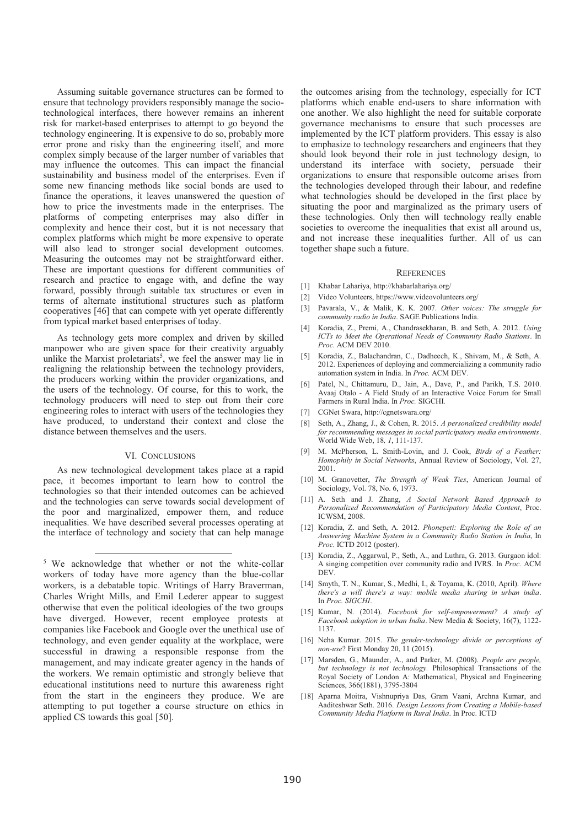Assuming suitable governance structures can be formed to ensure that technology providers responsibly manage the sociotechnological interfaces, there however remains an inherent risk for market-based enterprises to attempt to go beyond the technology engineering. It is expensive to do so, probably more error prone and risky than the engineering itself, and more complex simply because of the larger number of variables that may influence the outcomes. This can impact the financial sustainability and business model of the enterprises. Even if some new financing methods like social bonds are used to finance the operations, it leaves unanswered the question of how to price the investments made in the enterprises. The platforms of competing enterprises may also differ in complexity and hence their cost, but it is not necessary that complex platforms which might be more expensive to operate will also lead to stronger social development outcomes. Measuring the outcomes may not be straightforward either. These are important questions for different communities of research and practice to engage with, and define the way forward, possibly through suitable tax structures or even in terms of alternate institutional structures such as platform cooperatives [46] that can compete with yet operate differently from typical market based enterprises of today.

As technology gets more complex and driven by skilled manpower who are given space for their creativity arguably unlike the Marxist proletariats<sup>5</sup>, we feel the answer may lie in realigning the relationship between the technology providers, the producers working within the provider organizations, and the users of the technology. Of course, for this to work, the technology producers will need to step out from their core engineering roles to interact with users of the technologies they have produced, to understand their context and close the distance between themselves and the users.

## VI. CONCLUSIONS

As new technological development takes place at a rapid pace, it becomes important to learn how to control the technologies so that their intended outcomes can be achieved and the technologies can serve towards social development of the poor and marginalized, empower them, and reduce inequalities. We have described several processes operating at the interface of technology and society that can help manage

 5 We acknowledge that whether or not the white-collar workers of today have more agency than the blue-collar workers, is a debatable topic. Writings of Harry Braverman, Charles Wright Mills, and Emil Lederer appear to suggest otherwise that even the political ideologies of the two groups have diverged. However, recent employee protests at companies like Facebook and Google over the unethical use of technology, and even gender equality at the workplace, were successful in drawing a responsible response from the management, and may indicate greater agency in the hands of the workers. We remain optimistic and strongly believe that educational institutions need to nurture this awareness right from the start in the engineers they produce. We are attempting to put together a course structure on ethics in applied CS towards this goal [50].

the outcomes arising from the technology, especially for ICT platforms which enable end-users to share information with one another. We also highlight the need for suitable corporate governance mechanisms to ensure that such processes are implemented by the ICT platform providers. This essay is also to emphasize to technology researchers and engineers that they should look beyond their role in just technology design, to understand its interface with society, persuade their organizations to ensure that responsible outcome arises from the technologies developed through their labour, and redefine what technologies should be developed in the first place by situating the poor and marginalized as the primary users of these technologies. Only then will technology really enable societies to overcome the inequalities that exist all around us, and not increase these inequalities further. All of us can together shape such a future.

#### **REFERENCES**

- [1] Khabar Lahariya, http://khabarlahariya.org/
- [2] Video Volunteers, https://www.videovolunteers.org/
- [3] Pavarala, V., & Malik, K. K. 2007. *Other voices: The struggle for community radio in India*. SAGE Publications India.
- [4] Koradia, Z., Premi, A., Chandrasekharan, B. and Seth, A. 2012. *Using ICTs to Meet the Operational Needs of Community Radio Stations*. In *Proc.* ACM DEV 2010.
- [5] Koradia, Z., Balachandran, C., Dadheech, K., Shivam, M., & Seth, A. 2012. Experiences of deploying and commercializing a community radio automation system in India. In *Proc.* ACM DEV.
- [6] Patel, N., Chittamuru, D., Jain, A., Dave, P., and Parikh, T.S. 2010. Avaaj Otalo - A Field Study of an Interactive Voice Forum for Small Farmers in Rural India. In *Proc.* SIGCHI.
- [7] CGNet Swara, http://cgnetswara.org/
- [8] Seth, A., Zhang, J., & Cohen, R. 2015. *A personalized credibility model for recommending messages in social participatory media environments*. World Wide Web, 18*, 1*, 111-137.
- [9] M. McPherson, L. Smith-Lovin, and J. Cook, *Birds of a Feather: Homophily in Social Networks*, Annual Review of Sociology, Vol. 27, 2001.
- [10] M. Granovetter, *The Strength of Weak Ties*, American Journal of Sociology, Vol. 78, No. 6, 1973.
- [11] A. Seth and J. Zhang, *A Social Network Based Approach to Personalized Recommendation of Participatory Media Content*, Proc. ICWSM, 2008.
- [12] Koradia, Z. and Seth, A. 2012. *Phonepeti: Exploring the Role of an Answering Machine System in a Community Radio Station in India*, In *Proc.* ICTD 2012 (poster).
- [13] Koradia, Z., Aggarwal, P., Seth, A., and Luthra, G. 2013. Gurgaon idol: A singing competition over community radio and IVRS. In *Proc.* ACM **DEV**
- [14] Smyth, T. N., Kumar, S., Medhi, I., & Toyama, K. (2010, April). *Where there's a will there's a way: mobile media sharing in urban india*. In *Proc. SIGCHI*.
- [15] Kumar, N. (2014). *Facebook for self-empowerment? A study of Facebook adoption in urban India*. New Media & Society, 16(7), 1122- 1137.
- [16] Neha Kumar. 2015. *The gender-technology divide or perceptions of non-use*? First Monday 20, 11 (2015).
- [17] Marsden, G., Maunder, A., and Parker, M. (2008). *People are people, but technology is not technology.* Philosophical Transactions of the Royal Society of London A: Mathematical, Physical and Engineering Sciences, 366(1881), 3795-3804
- [18] Aparna Moitra, Vishnupriya Das, Gram Vaani, Archna Kumar, and Aaditeshwar Seth. 2016. *Design Lessons from Creating a Mobile-based Community Media Platform in Rural India*. In Proc. ICTD